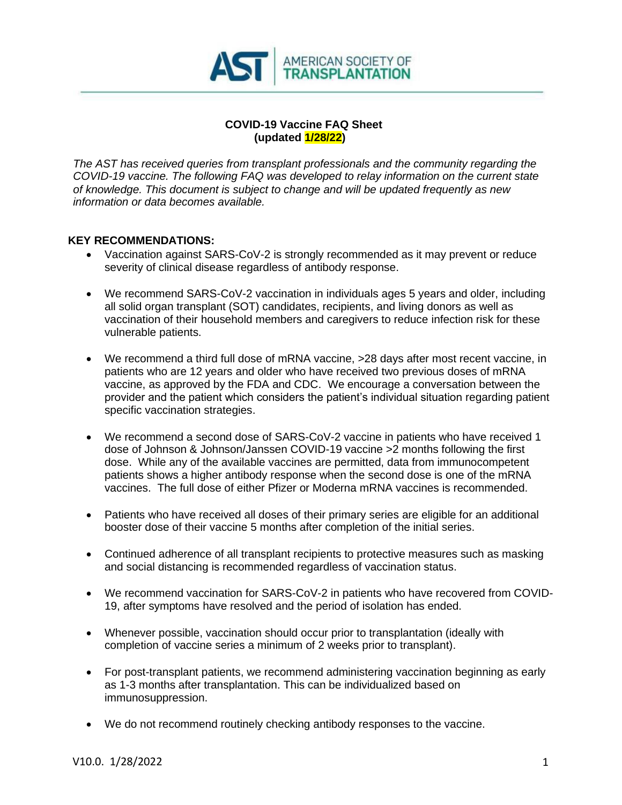

#### **COVID-19 Vaccine FAQ Sheet (updated 1/28/22)**

*The AST has received queries from transplant professionals and the community regarding the COVID-19 vaccine. The following FAQ was developed to relay information on the current state of knowledge. This document is subject to change and will be updated frequently as new information or data becomes available.*

#### **KEY RECOMMENDATIONS:**

- Vaccination against SARS-CoV-2 is strongly recommended as it may prevent or reduce severity of clinical disease regardless of antibody response.
- We recommend SARS-CoV-2 vaccination in individuals ages 5 years and older, including all solid organ transplant (SOT) candidates, recipients, and living donors as well as vaccination of their household members and caregivers to reduce infection risk for these vulnerable patients.
- We recommend a third full dose of mRNA vaccine,  $>$ 28 days after most recent vaccine, in patients who are 12 years and older who have received two previous doses of mRNA vaccine, as approved by the FDA and CDC. We encourage a conversation between the provider and the patient which considers the patient's individual situation regarding patient specific vaccination strategies.
- We recommend a second dose of SARS-CoV-2 vaccine in patients who have received 1 dose of Johnson & Johnson/Janssen COVID-19 vaccine >2 months following the first dose. While any of the available vaccines are permitted, data from immunocompetent patients shows a higher antibody response when the second dose is one of the mRNA vaccines. The full dose of either Pfizer or Moderna mRNA vaccines is recommended.
- Patients who have received all doses of their primary series are eligible for an additional booster dose of their vaccine 5 months after completion of the initial series.
- Continued adherence of all transplant recipients to protective measures such as masking and social distancing is recommended regardless of vaccination status.
- We recommend vaccination for SARS-CoV-2 in patients who have recovered from COVID-19, after symptoms have resolved and the period of isolation has ended.
- Whenever possible, vaccination should occur prior to transplantation (ideally with completion of vaccine series a minimum of 2 weeks prior to transplant).
- For post-transplant patients, we recommend administering vaccination beginning as early as 1-3 months after transplantation. This can be individualized based on immunosuppression.
- We do not recommend routinely checking antibody responses to the vaccine.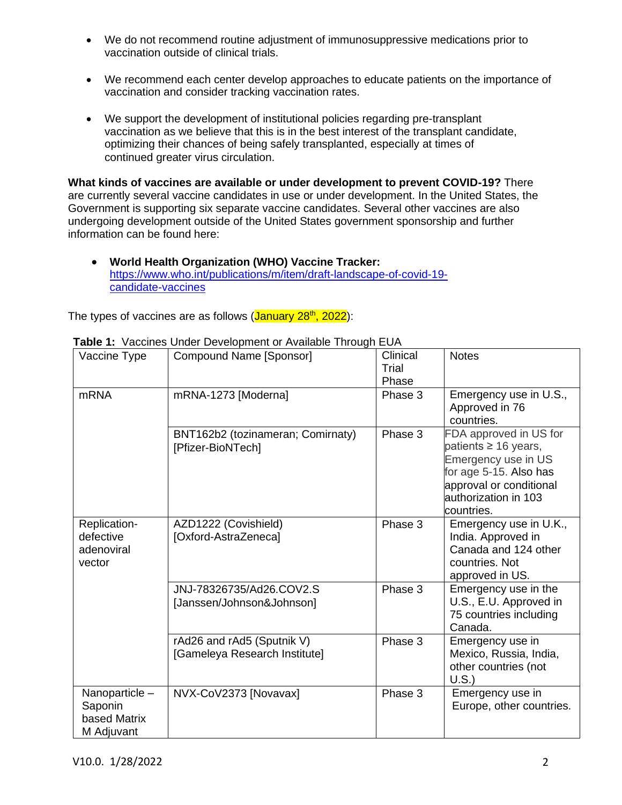- We do not recommend routine adjustment of immunosuppressive medications prior to vaccination outside of clinical trials.
- We recommend each center develop approaches to educate patients on the importance of vaccination and consider tracking vaccination rates.
- We support the development of institutional policies regarding pre-transplant vaccination as we believe that this is in the best interest of the transplant candidate, optimizing their chances of being safely transplanted, especially at times of continued greater virus circulation.

**What kinds of vaccines are available or under development to prevent COVID-19?** There are currently several vaccine candidates in use or under development. In the United States, the Government is supporting six separate vaccine candidates. Several other vaccines are also undergoing development outside of the United States government sponsorship and further information can be found here:

• **World Health Organization (WHO) Vaccine Tracker:** [https://www.who.int/publications/m/item/draft-landscape-of-covid-19](about:blank) [candidate-vaccines](about:blank)

The types of vaccines are as follows ( $January 28<sup>th</sup>$ , 2022):

| <b>Table 1.</b> Vaccines Onder Development or Available Through LOA |                                                             |                            |                                                                                                                                                                       |  |
|---------------------------------------------------------------------|-------------------------------------------------------------|----------------------------|-----------------------------------------------------------------------------------------------------------------------------------------------------------------------|--|
| Vaccine Type                                                        | Compound Name [Sponsor]                                     | Clinical<br>Trial<br>Phase | <b>Notes</b>                                                                                                                                                          |  |
| <b>mRNA</b>                                                         | mRNA-1273 [Moderna]                                         | Phase 3                    | Emergency use in U.S.,<br>Approved in 76<br>countries.                                                                                                                |  |
|                                                                     | BNT162b2 (tozinameran; Comirnaty)<br>[Pfizer-BioNTech]      | Phase 3                    | FDA approved in US for<br>patients $\geq 16$ years,<br>Emergency use in US<br>for age 5-15. Also has<br>approval or conditional<br>authorization in 103<br>countries. |  |
| Replication-<br>defective<br>adenoviral<br>vector                   | AZD1222 (Covishield)<br>[Oxford-AstraZeneca]                | Phase 3                    | Emergency use in U.K.,<br>India. Approved in<br>Canada and 124 other<br>countries. Not<br>approved in US.                                                             |  |
|                                                                     | JNJ-78326735/Ad26.COV2.S<br>[Janssen/Johnson&Johnson]       | Phase 3                    | Emergency use in the<br>U.S., E.U. Approved in<br>75 countries including<br>Canada.                                                                                   |  |
|                                                                     | rAd26 and rAd5 (Sputnik V)<br>[Gameleya Research Institute] | Phase 3                    | Emergency use in<br>Mexico, Russia, India,<br>other countries (not<br>U.S.                                                                                            |  |
| Nanoparticle-<br>Saponin<br>based Matrix<br>M Adjuvant              | NVX-CoV2373 [Novavax]                                       | Phase 3                    | Emergency use in<br>Europe, other countries.                                                                                                                          |  |

**Table 1:** Vaccines Under Development or Available Through EUA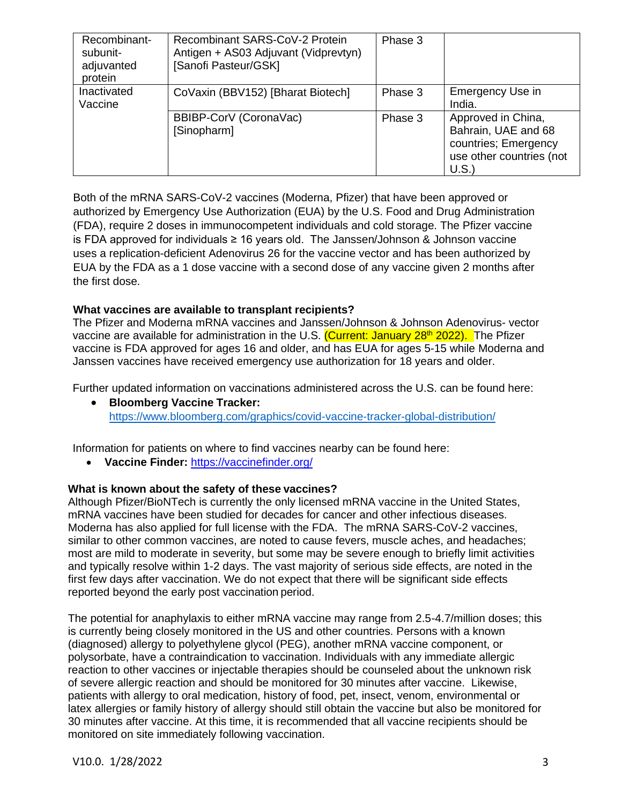| Recombinant-<br>subunit-<br>adjuvanted<br>protein | Recombinant SARS-CoV-2 Protein<br>Antigen + AS03 Adjuvant (Vidprevtyn)<br>[Sanofi Pasteur/GSK] | Phase 3 |                                                                                                       |
|---------------------------------------------------|------------------------------------------------------------------------------------------------|---------|-------------------------------------------------------------------------------------------------------|
| Inactivated<br>Vaccine                            | CoVaxin (BBV152) [Bharat Biotech]                                                              | Phase 3 | Emergency Use in<br>India.                                                                            |
|                                                   | BBIBP-CorV (CoronaVac)<br>[Sinopharm]                                                          | Phase 3 | Approved in China,<br>Bahrain, UAE and 68<br>countries; Emergency<br>use other countries (not<br>U.S. |

Both of the mRNA SARS-CoV-2 vaccines (Moderna, Pfizer) that have been approved or authorized by Emergency Use Authorization (EUA) by the U.S. Food and Drug Administration (FDA), require 2 doses in immunocompetent individuals and cold storage. The Pfizer vaccine is FDA approved for individuals  $\geq 16$  years old. The Janssen/Johnson & Johnson vaccine uses a replication-deficient Adenovirus 26 for the vaccine vector and has been authorized by EUA by the FDA as a 1 dose vaccine with a second dose of any vaccine given 2 months after the first dose.

## **What vaccines are available to transplant recipients?**

The Pfizer and Moderna mRNA vaccines and Janssen/Johnson & Johnson Adenovirus- vector vaccine are available for administration in the U.S. (Current: January 28<sup>th</sup> 2022). The Pfizer vaccine is FDA approved for ages 16 and older, and has EUA for ages 5-15 while Moderna and Janssen vaccines have received emergency use authorization for 18 years and older.

Further updated information on vaccinations administered across the U.S. can be found here:

• **Bloomberg Vaccine Tracker:** [https://www.bloomberg.com/graphics/covid-vaccine-tracker-global-distribution/](about:blank)

Information for patients on where to find vaccines nearby can be found here:

• **Vaccine Finder:** [https://vaccinefinder.org/](about:blank)

## **What is known about the safety of these vaccines?**

Although Pfizer/BioNTech is currently the only licensed mRNA vaccine in the United States, mRNA vaccines have been studied for decades for cancer and other infectious diseases. Moderna has also applied for full license with the FDA. The mRNA SARS-CoV-2 vaccines, similar to other common vaccines, are noted to cause fevers, muscle aches, and headaches; most are mild to moderate in severity, but some may be severe enough to briefly limit activities and typically resolve within 1-2 days. The vast majority of serious side effects, are noted in the first few days after vaccination. We do not expect that there will be significant side effects reported beyond the early post vaccination period.

The potential for anaphylaxis to either mRNA vaccine may range from 2.5-4.7/million doses; this is currently being closely monitored in the US and other countries. Persons with a known (diagnosed) allergy to polyethylene glycol (PEG), another mRNA vaccine component, or polysorbate, have a contraindication to vaccination. Individuals with any immediate allergic reaction to other vaccines or injectable therapies should be counseled about the unknown risk of severe allergic reaction and should be monitored for 30 minutes after vaccine. Likewise, patients with allergy to oral medication, history of food, pet, insect, venom, environmental or latex allergies or family history of allergy should still obtain the vaccine but also be monitored for 30 minutes after vaccine. At this time, it is recommended that all vaccine recipients should be monitored on site immediately following vaccination.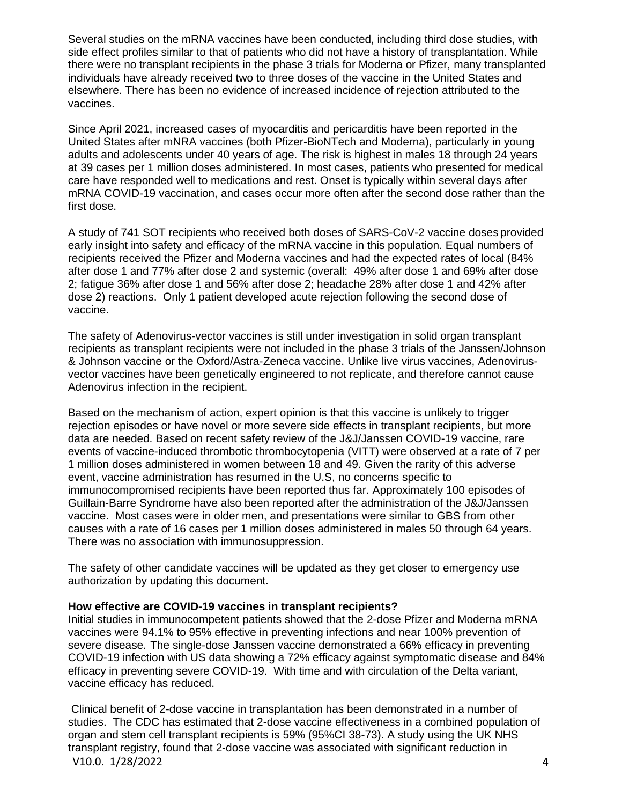Several studies on the mRNA vaccines have been conducted, including third dose studies, with side effect profiles similar to that of patients who did not have a history of transplantation. While there were no transplant recipients in the phase 3 trials for Moderna or Pfizer, many transplanted individuals have already received two to three doses of the vaccine in the United States and elsewhere. There has been no evidence of increased incidence of rejection attributed to the vaccines.

Since April 2021, increased cases of myocarditis and pericarditis have been reported in the United States after mNRA vaccines (both Pfizer-BioNTech and Moderna), particularly in young adults and adolescents under 40 years of age. The risk is highest in males 18 through 24 years at 39 cases per 1 million doses administered. In most cases, patients who presented for medical care have responded well to medications and rest. Onset is typically within several days after mRNA COVID-19 vaccination, and cases occur more often after the second dose rather than the first dose.

A study of 741 SOT recipients who received both doses of SARS-CoV-2 vaccine doses provided early insight into safety and efficacy of the mRNA vaccine in this population. Equal numbers of recipients received the Pfizer and Moderna vaccines and had the expected rates of local (84% after dose 1 and 77% after dose 2 and systemic (overall: 49% after dose 1 and 69% after dose 2; fatigue 36% after dose 1 and 56% after dose 2; headache 28% after dose 1 and 42% after dose 2) reactions. Only 1 patient developed acute rejection following the second dose of vaccine.

The safety of Adenovirus-vector vaccines is still under investigation in solid organ transplant recipients as transplant recipients were not included in the phase 3 trials of the Janssen/Johnson & Johnson vaccine or the Oxford/Astra-Zeneca vaccine. Unlike live virus vaccines, Adenovirusvector vaccines have been genetically engineered to not replicate, and therefore cannot cause Adenovirus infection in the recipient.

Based on the mechanism of action, expert opinion is that this vaccine is unlikely to trigger rejection episodes or have novel or more severe side effects in transplant recipients, but more data are needed. Based on recent safety review of the J&J/Janssen COVID-19 vaccine, rare events of vaccine-induced thrombotic thrombocytopenia (VITT) were observed at a rate of 7 per 1 million doses administered in women between 18 and 49. Given the rarity of this adverse event, vaccine administration has resumed in the U.S, no concerns specific to immunocompromised recipients have been reported thus far. Approximately 100 episodes of Guillain-Barre Syndrome have also been reported after the administration of the J&J/Janssen vaccine. Most cases were in older men, and presentations were similar to GBS from other causes with a rate of 16 cases per 1 million doses administered in males 50 through 64 years. There was no association with immunosuppression.

The safety of other candidate vaccines will be updated as they get closer to emergency use authorization by updating this document.

#### **How effective are COVID-19 vaccines in transplant recipients?**

Initial studies in immunocompetent patients showed that the 2-dose Pfizer and Moderna mRNA vaccines were 94.1% to 95% effective in preventing infections and near 100% prevention of severe disease. The single-dose Janssen vaccine demonstrated a 66% efficacy in preventing COVID-19 infection with US data showing a 72% efficacy against symptomatic disease and 84% efficacy in preventing severe COVID-19. With time and with circulation of the Delta variant, vaccine efficacy has reduced.

V10.0. 1/28/2022 4 Clinical benefit of 2-dose vaccine in transplantation has been demonstrated in a number of studies. The CDC has estimated that 2-dose vaccine effectiveness in a combined population of organ and stem cell transplant recipients is 59% (95%CI 38-73). A study using the UK NHS transplant registry, found that 2-dose vaccine was associated with significant reduction in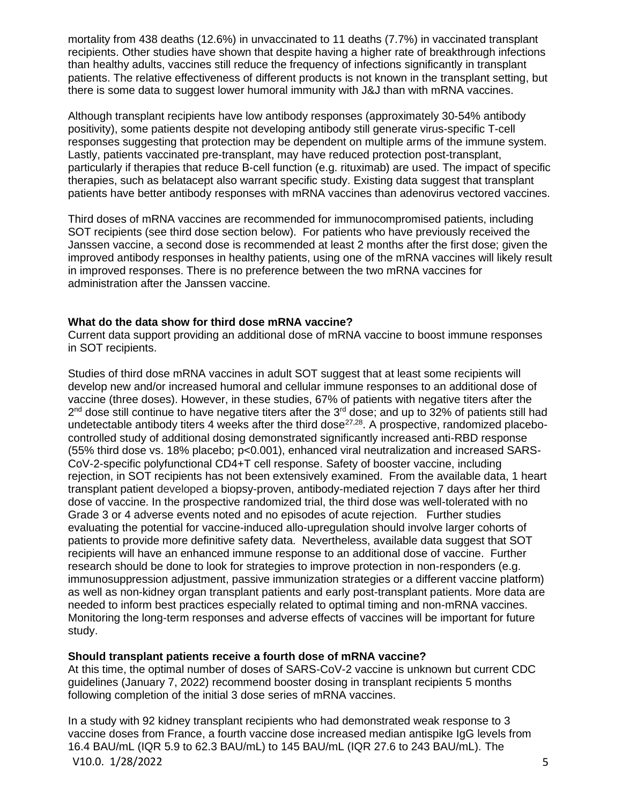mortality from 438 deaths (12.6%) in unvaccinated to 11 deaths (7.7%) in vaccinated transplant recipients. Other studies have shown that despite having a higher rate of breakthrough infections than healthy adults, vaccines still reduce the frequency of infections significantly in transplant patients. The relative effectiveness of different products is not known in the transplant setting, but there is some data to suggest lower humoral immunity with J&J than with mRNA vaccines.

Although transplant recipients have low antibody responses (approximately 30-54% antibody positivity), some patients despite not developing antibody still generate virus-specific T-cell responses suggesting that protection may be dependent on multiple arms of the immune system. Lastly, patients vaccinated pre-transplant, may have reduced protection post-transplant, particularly if therapies that reduce B-cell function (e.g. rituximab) are used. The impact of specific therapies, such as belatacept also warrant specific study. Existing data suggest that transplant patients have better antibody responses with mRNA vaccines than adenovirus vectored vaccines.

Third doses of mRNA vaccines are recommended for immunocompromised patients, including SOT recipients (see third dose section below). For patients who have previously received the Janssen vaccine, a second dose is recommended at least 2 months after the first dose; given the improved antibody responses in healthy patients, using one of the mRNA vaccines will likely result in improved responses. There is no preference between the two mRNA vaccines for administration after the Janssen vaccine.

#### **What do the data show for third dose mRNA vaccine?**

Current data support providing an additional dose of mRNA vaccine to boost immune responses in SOT recipients.

Studies of third dose mRNA vaccines in adult SOT suggest that at least some recipients will develop new and/or increased humoral and cellular immune responses to an additional dose of vaccine (three doses). However, in these studies, 67% of patients with negative titers after the 2<sup>nd</sup> dose still continue to have negative titers after the 3<sup>rd</sup> dose; and up to 32% of patients still had undetectable antibody titers 4 weeks after the third dose<sup>27,28</sup>. A prospective, randomized placebocontrolled study of additional dosing demonstrated significantly increased anti-RBD response (55% third dose vs. 18% placebo; p<0.001), enhanced viral neutralization and increased SARS-CoV-2-specific polyfunctional CD4+T cell response. Safety of booster vaccine, including rejection, in SOT recipients has not been extensively examined. From the available data, 1 heart transplant patient developed a biopsy-proven, antibody-mediated rejection 7 days after her third dose of vaccine. In the prospective randomized trial, the third dose was well-tolerated with no Grade 3 or 4 adverse events noted and no episodes of acute rejection. Further studies evaluating the potential for vaccine-induced allo-upregulation should involve larger cohorts of patients to provide more definitive safety data. Nevertheless, available data suggest that SOT recipients will have an enhanced immune response to an additional dose of vaccine. Further research should be done to look for strategies to improve protection in non-responders (e.g. immunosuppression adjustment, passive immunization strategies or a different vaccine platform) as well as non-kidney organ transplant patients and early post-transplant patients. More data are needed to inform best practices especially related to optimal timing and non-mRNA vaccines. Monitoring the long-term responses and adverse effects of vaccines will be important for future study.

## **Should transplant patients receive a fourth dose of mRNA vaccine?**

At this time, the optimal number of doses of SARS-CoV-2 vaccine is unknown but current CDC guidelines (January 7, 2022) recommend booster dosing in transplant recipients 5 months following completion of the initial 3 dose series of mRNA vaccines.

V10.0. 1/28/2022 5 In a study with 92 kidney transplant recipients who had demonstrated weak response to 3 vaccine doses from France, a fourth vaccine dose increased median antispike IgG levels from 16.4 BAU/mL (IQR 5.9 to 62.3 BAU/mL) to 145 BAU/mL (IQR 27.6 to 243 BAU/mL). The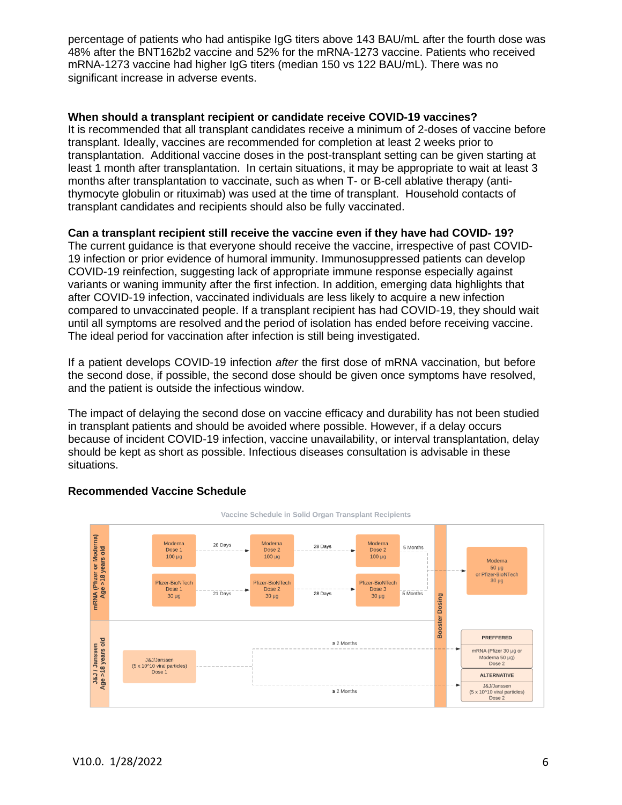percentage of patients who had antispike IgG titers above 143 BAU/mL after the fourth dose was 48% after the BNT162b2 vaccine and 52% for the mRNA-1273 vaccine. Patients who received mRNA-1273 vaccine had higher IgG titers (median 150 vs 122 BAU/mL). There was no significant increase in adverse events.

#### **When should a transplant recipient or candidate receive COVID-19 vaccines?**

It is recommended that all transplant candidates receive a minimum of 2-doses of vaccine before transplant. Ideally, vaccines are recommended for completion at least 2 weeks prior to transplantation. Additional vaccine doses in the post-transplant setting can be given starting at least 1 month after transplantation. In certain situations, it may be appropriate to wait at least 3 months after transplantation to vaccinate, such as when T- or B-cell ablative therapy (antithymocyte globulin or rituximab) was used at the time of transplant. Household contacts of transplant candidates and recipients should also be fully vaccinated.

## **Can a transplant recipient still receive the vaccine even if they have had COVID- 19?**

The current guidance is that everyone should receive the vaccine, irrespective of past COVID-19 infection or prior evidence of humoral immunity. Immunosuppressed patients can develop COVID-19 reinfection, suggesting lack of appropriate immune response especially against variants or waning immunity after the first infection. In addition, emerging data highlights that after COVID-19 infection, vaccinated individuals are less likely to acquire a new infection compared to unvaccinated people. If a transplant recipient has had COVID-19, they should wait until all symptoms are resolved and the period of isolation has ended before receiving vaccine. The ideal period for vaccination after infection is still being investigated.

If a patient develops COVID-19 infection *after* the first dose of mRNA vaccination, but before the second dose, if possible, the second dose should be given once symptoms have resolved, and the patient is outside the infectious window.

The impact of delaying the second dose on vaccine efficacy and durability has not been studied in transplant patients and should be avoided where possible. However, if a delay occurs because of incident COVID-19 infection, vaccine unavailability, or interval transplantation, delay should be kept as short as possible. Infectious diseases consultation is advisable in these situations.



#### **Recommended Vaccine Schedule**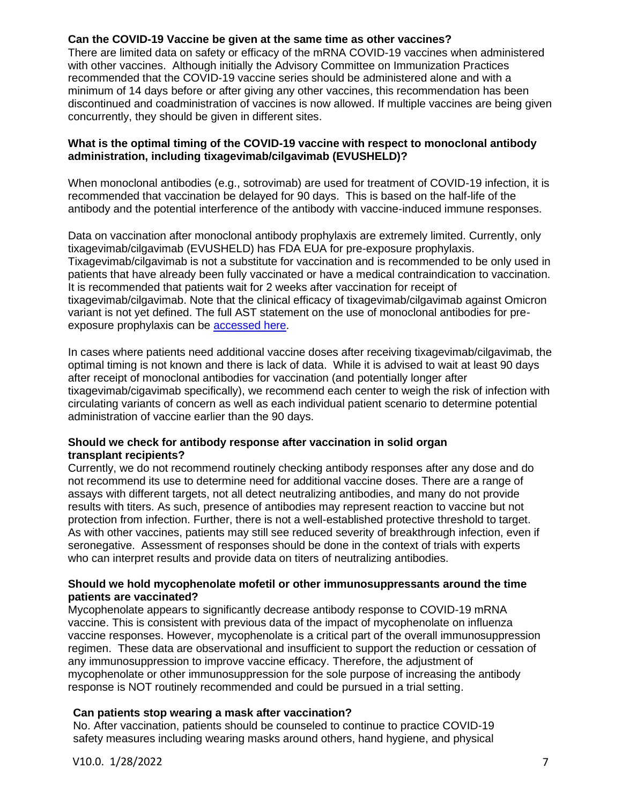## **Can the COVID-19 Vaccine be given at the same time as other vaccines?**

There are limited data on safety or efficacy of the mRNA COVID-19 vaccines when administered with other vaccines. Although initially the Advisory Committee on Immunization Practices recommended that the COVID-19 vaccine series should be administered alone and with a minimum of 14 days before or after giving any other vaccines, this recommendation has been discontinued and coadministration of vaccines is now allowed. If multiple vaccines are being given concurrently, they should be given in different sites.

#### **What is the optimal timing of the COVID-19 vaccine with respect to monoclonal antibody administration, including tixagevimab/cilgavimab (EVUSHELD)?**

When monoclonal antibodies (e.g., sotrovimab) are used for treatment of COVID-19 infection, it is recommended that vaccination be delayed for 90 days. This is based on the half-life of the antibody and the potential interference of the antibody with vaccine-induced immune responses.

Data on vaccination after monoclonal antibody prophylaxis are extremely limited. Currently, only tixagevimab/cilgavimab (EVUSHELD) has FDA EUA for pre-exposure prophylaxis. Tixagevimab/cilgavimab is not a substitute for vaccination and is recommended to be only used in patients that have already been fully vaccinated or have a medical contraindication to vaccination. It is recommended that patients wait for 2 weeks after vaccination for receipt of tixagevimab/cilgavimab. Note that the clinical efficacy of tixagevimab/cilgavimab against Omicron variant is not yet defined. The full AST statement on the use of monoclonal antibodies for preexposure prophylaxis can be [accessed here.](https://www.myast.org/sites/default/files/AST%20Statement%20on%20Use%20of%20Monoclonal%20Antibody_Final.pdf)

In cases where patients need additional vaccine doses after receiving tixagevimab/cilgavimab, the optimal timing is not known and there is lack of data. While it is advised to wait at least 90 days after receipt of monoclonal antibodies for vaccination (and potentially longer after tixagevimab/cigavimab specifically), we recommend each center to weigh the risk of infection with circulating variants of concern as well as each individual patient scenario to determine potential administration of vaccine earlier than the 90 days.

#### **Should we check for antibody response after vaccination in solid organ transplant recipients?**

Currently, we do not recommend routinely checking antibody responses after any dose and do not recommend its use to determine need for additional vaccine doses. There are a range of assays with different targets, not all detect neutralizing antibodies, and many do not provide results with titers. As such, presence of antibodies may represent reaction to vaccine but not protection from infection. Further, there is not a well-established protective threshold to target. As with other vaccines, patients may still see reduced severity of breakthrough infection, even if seronegative. Assessment of responses should be done in the context of trials with experts who can interpret results and provide data on titers of neutralizing antibodies.

#### **Should we hold mycophenolate mofetil or other immunosuppressants around the time patients are vaccinated?**

Mycophenolate appears to significantly decrease antibody response to COVID-19 mRNA vaccine. This is consistent with previous data of the impact of mycophenolate on influenza vaccine responses. However, mycophenolate is a critical part of the overall immunosuppression regimen. These data are observational and insufficient to support the reduction or cessation of any immunosuppression to improve vaccine efficacy. Therefore, the adjustment of mycophenolate or other immunosuppression for the sole purpose of increasing the antibody response is NOT routinely recommended and could be pursued in a trial setting.

## **Can patients stop wearing a mask after vaccination?**

No. After vaccination, patients should be counseled to continue to practice COVID-19 safety measures including wearing masks around others, hand hygiene, and physical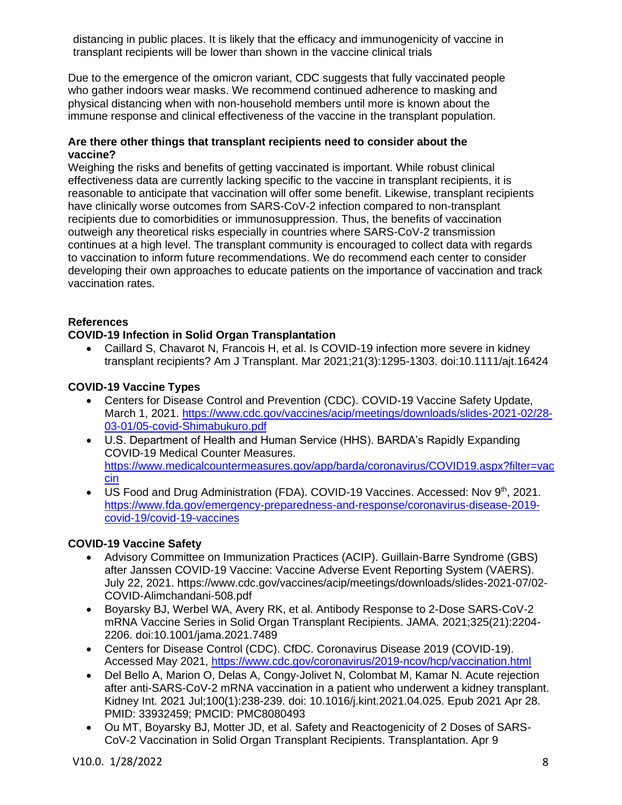distancing in public places. It is likely that the efficacy and immunogenicity of vaccine in transplant recipients will be lower than shown in the vaccine clinical trials

Due to the emergence of the omicron variant, CDC suggests that fully vaccinated people who gather indoors wear masks. We recommend continued adherence to masking and physical distancing when with non-household members until more is known about the immune response and clinical effectiveness of the vaccine in the transplant population.

#### **Are there other things that transplant recipients need to consider about the vaccine?**

Weighing the risks and benefits of getting vaccinated is important. While robust clinical effectiveness data are currently lacking specific to the vaccine in transplant recipients, it is reasonable to anticipate that vaccination will offer some benefit. Likewise, transplant recipients have clinically worse outcomes from SARS-CoV-2 infection compared to non-transplant recipients due to comorbidities or immunosuppression. Thus, the benefits of vaccination outweigh any theoretical risks especially in countries where SARS-CoV-2 transmission continues at a high level. The transplant community is encouraged to collect data with regards to vaccination to inform future recommendations. We do recommend each center to consider developing their own approaches to educate patients on the importance of vaccination and track vaccination rates.

## **References**

## **COVID-19 Infection in Solid Organ Transplantation**

• Caillard S, Chavarot N, Francois H, et al. Is COVID-19 infection more severe in kidney transplant recipients? Am J Transplant. Mar 2021;21(3):1295-1303. doi:10.1111/ajt.16424

## **COVID-19 Vaccine Types**

- Centers for Disease Control and Prevention (CDC). COVID-19 Vaccine Safety Update, March 1, 2021. [https://www.cdc.gov/vaccines/acip/meetings/downloads/slides-2021-02/28-](about:blank) [03-01/05-covid-Shimabukuro.pdf](about:blank)
- U.S. Department of Health and Human Service (HHS). BARDA's Rapidly Expanding COVID-19 Medical Counter Measures. [https://www.medicalcountermeasures.gov/app/barda/coronavirus/COVID19.aspx?filter=vac](https://www.medicalcountermeasures.gov/app/barda/coronavirus/COVID19.aspx?filter=vaccin) [cin](https://www.medicalcountermeasures.gov/app/barda/coronavirus/COVID19.aspx?filter=vaccin)
- US Food and Drug Administration (FDA). COVID-19 Vaccines. Accessed: Nov 9<sup>th</sup>, 2021. [https://www.fda.gov/emergency-preparedness-and-response/coronavirus-disease-2019](https://www.fda.gov/emergency-preparedness-and-response/coronavirus-disease-2019-covid-19/covid-19-vaccines) [covid-19/covid-19-vaccines](https://www.fda.gov/emergency-preparedness-and-response/coronavirus-disease-2019-covid-19/covid-19-vaccines)

# **COVID-19 Vaccine Safety**

- Advisory Committee on Immunization Practices (ACIP). Guillain-Barre Syndrome (GBS) after Janssen COVID-19 Vaccine: Vaccine Adverse Event Reporting System (VAERS). July 22, 2021. https://www.cdc.gov/vaccines/acip/meetings/downloads/slides-2021-07/02- COVID-Alimchandani-508.pdf
- Boyarsky BJ, Werbel WA, Avery RK, et al. Antibody Response to 2-Dose SARS-CoV-2 mRNA Vaccine Series in Solid Organ Transplant Recipients. JAMA. 2021;325(21):2204- 2206. doi:10.1001/jama.2021.7489
- Centers for Disease Control (CDC). CfDC. Coronavirus Disease 2019 (COVID-19). Accessed May 2021, [https://www.cdc.gov/coronavirus/2019-ncov/hcp/vaccination.html](about:blank)
- Del Bello A, Marion O, Delas A, Congy-Jolivet N, Colombat M, Kamar N. Acute rejection after anti-SARS-CoV-2 mRNA vaccination in a patient who underwent a kidney transplant. Kidney Int. 2021 Jul;100(1):238-239. doi: 10.1016/j.kint.2021.04.025. Epub 2021 Apr 28. PMID: 33932459; PMCID: PMC8080493
- Ou MT, Boyarsky BJ, Motter JD, et al. Safety and Reactogenicity of 2 Doses of SARS-CoV-2 Vaccination in Solid Organ Transplant Recipients. Transplantation. Apr 9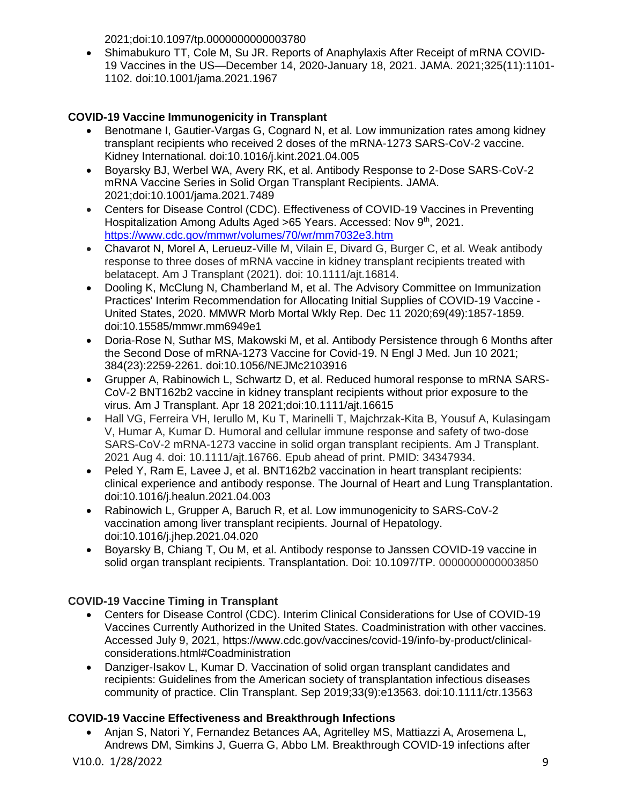2021;doi:10.1097/tp.0000000000003780

• Shimabukuro TT, Cole M, Su JR. Reports of Anaphylaxis After Receipt of mRNA COVID-19 Vaccines in the US—December 14, 2020-January 18, 2021. JAMA. 2021;325(11):1101- 1102. doi:10.1001/jama.2021.1967

# **COVID-19 Vaccine Immunogenicity in Transplant**

- Benotmane I, Gautier-Vargas G, Cognard N, et al. Low immunization rates among kidney transplant recipients who received 2 doses of the mRNA-1273 SARS-CoV-2 vaccine. Kidney International. doi:10.1016/j.kint.2021.04.005
- Boyarsky BJ, Werbel WA, Avery RK, et al. Antibody Response to 2-Dose SARS-CoV-2 mRNA Vaccine Series in Solid Organ Transplant Recipients. JAMA. 2021;doi:10.1001/jama.2021.7489
- Centers for Disease Control (CDC). Effectiveness of COVID-19 Vaccines in Preventing Hospitalization Among Adults Aged >65 Years. Accessed: Nov 9th, 2021. <https://www.cdc.gov/mmwr/volumes/70/wr/mm7032e3.htm>
- Chavarot N, Morel A, Lerueuz-Ville M, Vilain E, Divard G, Burger C, et al. Weak antibody response to three doses of mRNA vaccine in kidney transplant recipients treated with belatacept. Am J Transplant (2021). doi: 10.1111/ajt.16814.
- Dooling K, McClung N, Chamberland M, et al. The Advisory Committee on Immunization Practices' Interim Recommendation for Allocating Initial Supplies of COVID-19 Vaccine - United States, 2020. MMWR Morb Mortal Wkly Rep. Dec 11 2020;69(49):1857-1859. doi:10.15585/mmwr.mm6949e1
- Doria-Rose N, Suthar MS, Makowski M, et al. Antibody Persistence through 6 Months after the Second Dose of mRNA-1273 Vaccine for Covid-19. N Engl J Med. Jun 10 2021; 384(23):2259-2261. doi:10.1056/NEJMc2103916
- Grupper A, Rabinowich L, Schwartz D, et al. Reduced humoral response to mRNA SARS-CoV-2 BNT162b2 vaccine in kidney transplant recipients without prior exposure to the virus. Am J Transplant. Apr 18 2021;doi:10.1111/ajt.16615
- Hall VG, Ferreira VH, Ierullo M, Ku T, Marinelli T, Majchrzak-Kita B, Yousuf A, Kulasingam V, Humar A, Kumar D. Humoral and cellular immune response and safety of two-dose SARS-CoV-2 mRNA-1273 vaccine in solid organ transplant recipients. Am J Transplant. 2021 Aug 4. doi: 10.1111/ajt.16766. Epub ahead of print. PMID: 34347934.
- Peled Y, Ram E, Lavee J, et al. BNT162b2 vaccination in heart transplant recipients: clinical experience and antibody response. The Journal of Heart and Lung Transplantation. doi:10.1016/j.healun.2021.04.003
- Rabinowich L, Grupper A, Baruch R, et al. Low immunogenicity to SARS-CoV-2 vaccination among liver transplant recipients. Journal of Hepatology. doi:10.1016/j.jhep.2021.04.020
- Boyarsky B, Chiang T, Ou M, et al. Antibody response to Janssen COVID-19 vaccine in solid organ transplant recipients. Transplantation. Doi: 10.1097/TP. 0000000000003850

# **COVID-19 Vaccine Timing in Transplant**

- Centers for Disease Control (CDC). Interim Clinical Considerations for Use of COVID-19 Vaccines Currently Authorized in the United States. Coadministration with other vaccines. Accessed July 9, 2021, https://www.cdc.gov/vaccines/covid-19/info-by-product/clinicalconsiderations.html#Coadministration
- Danziger-Isakov L, Kumar D. Vaccination of solid organ transplant candidates and recipients: Guidelines from the American society of transplantation infectious diseases community of practice. Clin Transplant. Sep 2019;33(9):e13563. doi:10.1111/ctr.13563

# **COVID-19 Vaccine Effectiveness and Breakthrough Infections**

• Anjan S, Natori Y, Fernandez Betances AA, Agritelley MS, Mattiazzi A, Arosemena L, Andrews DM, Simkins J, Guerra G, Abbo LM. Breakthrough COVID-19 infections after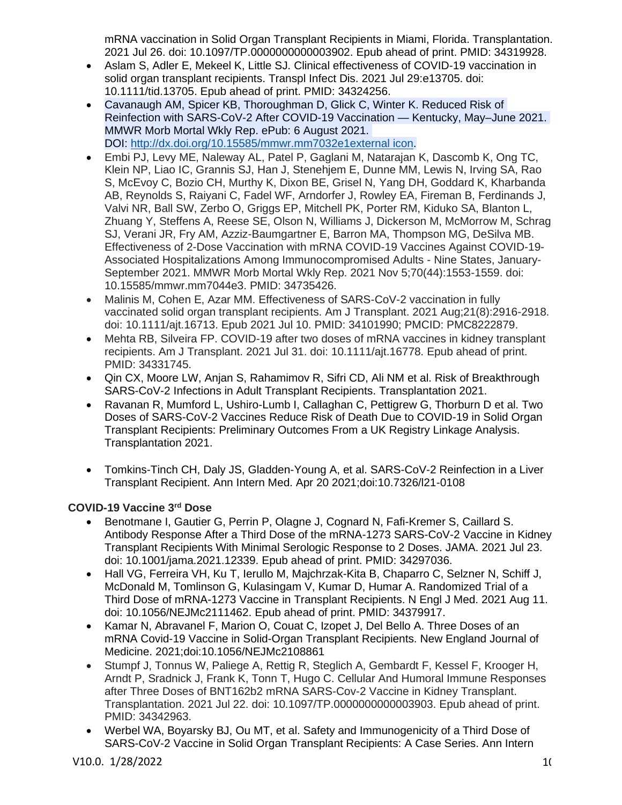mRNA vaccination in Solid Organ Transplant Recipients in Miami, Florida. Transplantation. 2021 Jul 26. doi: 10.1097/TP.0000000000003902. Epub ahead of print. PMID: 34319928.

- Aslam S, Adler E, Mekeel K, Little SJ. Clinical effectiveness of COVID-19 vaccination in solid organ transplant recipients. Transpl Infect Dis. 2021 Jul 29:e13705. doi: 10.1111/tid.13705. Epub ahead of print. PMID: 34324256.
- Cavanaugh AM, Spicer KB, Thoroughman D, Glick C, Winter K. Reduced Risk of Reinfection with SARS-CoV-2 After COVID-19 Vaccination — Kentucky, May–June 2021. MMWR Morb Mortal Wkly Rep. ePub: 6 August 2021. DOI: [http://dx.doi.org/10.15585/mmwr.mm7032e1external](about:blank) icon.
- Embi PJ, Levy ME, Naleway AL, Patel P, Gaglani M, Natarajan K, Dascomb K, Ong TC, Klein NP, Liao IC, Grannis SJ, Han J, Stenehjem E, Dunne MM, Lewis N, Irving SA, Rao S, McEvoy C, Bozio CH, Murthy K, Dixon BE, Grisel N, Yang DH, Goddard K, Kharbanda AB, Reynolds S, Raiyani C, Fadel WF, Arndorfer J, Rowley EA, Fireman B, Ferdinands J, Valvi NR, Ball SW, Zerbo O, Griggs EP, Mitchell PK, Porter RM, Kiduko SA, Blanton L, Zhuang Y, Steffens A, Reese SE, Olson N, Williams J, Dickerson M, McMorrow M, Schrag SJ, Verani JR, Fry AM, Azziz-Baumgartner E, Barron MA, Thompson MG, DeSilva MB. Effectiveness of 2-Dose Vaccination with mRNA COVID-19 Vaccines Against COVID-19- Associated Hospitalizations Among Immunocompromised Adults - Nine States, January-September 2021. MMWR Morb Mortal Wkly Rep. 2021 Nov 5;70(44):1553-1559. doi: 10.15585/mmwr.mm7044e3. PMID: 34735426.
- Malinis M, Cohen E, Azar MM. Effectiveness of SARS-CoV-2 vaccination in fully vaccinated solid organ transplant recipients. Am J Transplant. 2021 Aug;21(8):2916-2918. doi: 10.1111/ajt.16713. Epub 2021 Jul 10. PMID: 34101990; PMCID: PMC8222879.
- Mehta RB, Silveira FP, COVID-19 after two doses of mRNA vaccines in kidney transplant recipients. Am J Transplant. 2021 Jul 31. doi: 10.1111/ajt.16778. Epub ahead of print. PMID: 34331745.
- Qin CX, Moore LW, Anjan S, Rahamimov R, Sifri CD, Ali NM et al. Risk of Breakthrough SARS-CoV-2 Infections in Adult Transplant Recipients. Transplantation 2021.
- Ravanan R, Mumford L, Ushiro-Lumb I, Callaghan C, Pettigrew G, Thorburn D et al. Two Doses of SARS-CoV-2 Vaccines Reduce Risk of Death Due to COVID-19 in Solid Organ Transplant Recipients: Preliminary Outcomes From a UK Registry Linkage Analysis. Transplantation 2021.
- Tomkins-Tinch CH, Daly JS, Gladden-Young A, et al. SARS-CoV-2 Reinfection in a Liver Transplant Recipient. Ann Intern Med. Apr 20 2021;doi:10.7326/l21-0108

# **COVID-19 Vaccine 3rd Dose**

- Benotmane I, Gautier G, Perrin P, Olagne J, Cognard N, Fafi-Kremer S, Caillard S. Antibody Response After a Third Dose of the mRNA-1273 SARS-CoV-2 Vaccine in Kidney Transplant Recipients With Minimal Serologic Response to 2 Doses. JAMA. 2021 Jul 23. doi: 10.1001/jama.2021.12339. Epub ahead of print. PMID: 34297036.
- Hall VG, Ferreira VH, Ku T, Ierullo M, Maichrzak-Kita B, Chaparro C, Selzner N, Schiff J, McDonald M, Tomlinson G, Kulasingam V, Kumar D, Humar A. Randomized Trial of a Third Dose of mRNA-1273 Vaccine in Transplant Recipients. N Engl J Med. 2021 Aug 11. doi: 10.1056/NEJMc2111462. Epub ahead of print. PMID: 34379917.
- Kamar N, Abravanel F, Marion O, Couat C, Izopet J, Del Bello A. Three Doses of an mRNA Covid-19 Vaccine in Solid-Organ Transplant Recipients. New England Journal of Medicine. 2021;doi:10.1056/NEJMc2108861
- Stumpf J, Tonnus W, Paliege A, Rettig R, Steglich A, Gembardt F, Kessel F, Krooger H, Arndt P, Sradnick J, Frank K, Tonn T, Hugo C. Cellular And Humoral Immune Responses after Three Doses of BNT162b2 mRNA SARS-Cov-2 Vaccine in Kidney Transplant. Transplantation. 2021 Jul 22. doi: 10.1097/TP.0000000000003903. Epub ahead of print. PMID: 34342963.
- Werbel WA, Boyarsky BJ, Ou MT, et al. Safety and Immunogenicity of a Third Dose of SARS-CoV-2 Vaccine in Solid Organ Transplant Recipients: A Case Series. Ann Intern